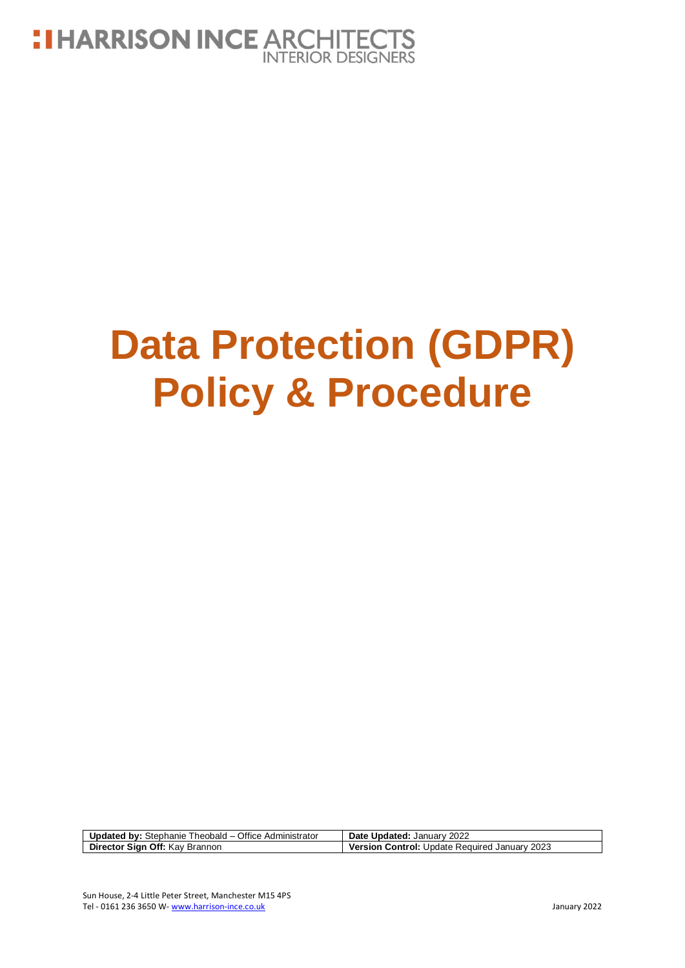

# **Data Protection (GDPR) Policy & Procedure**

| <b>Updated by:</b> Stephanie Theobald – Office Administrator | Date Updated: January 2022                           |
|--------------------------------------------------------------|------------------------------------------------------|
| Director Sign Off: Kay Brannon                               | <b>Version Control: Update Required January 2023</b> |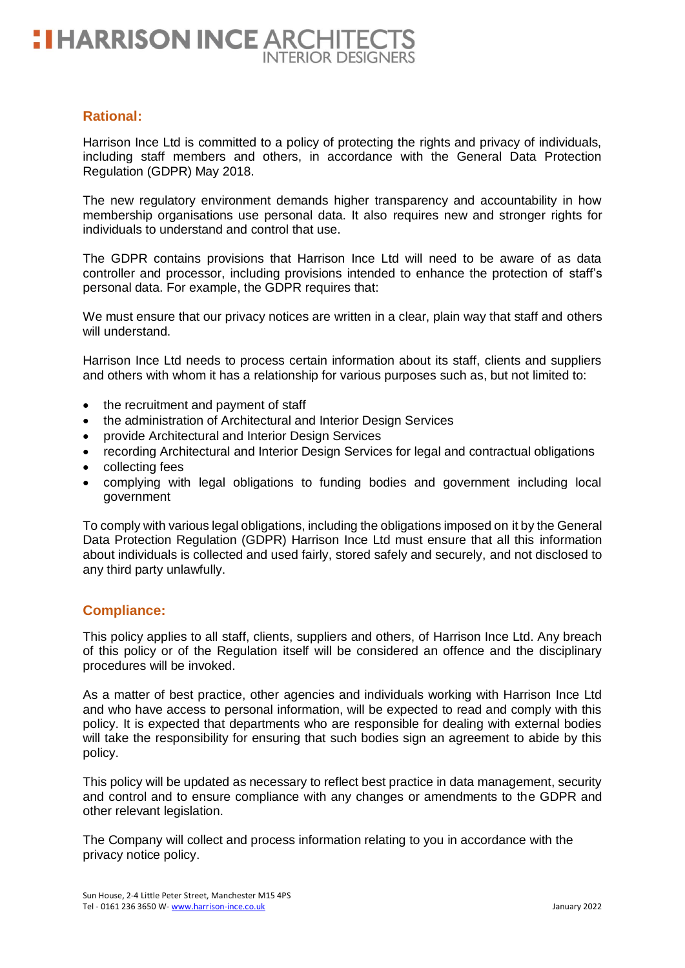## **Rational:**

Harrison Ince Ltd is committed to a policy of protecting the rights and privacy of individuals, including staff members and others, in accordance with the General Data Protection Regulation (GDPR) May 2018.

The new regulatory environment demands higher transparency and accountability in how membership organisations use personal data. It also requires new and stronger rights for individuals to understand and control that use.

The GDPR contains provisions that Harrison Ince Ltd will need to be aware of as data controller and processor, including provisions intended to enhance the protection of staff's personal data. For example, the GDPR requires that:

We must ensure that our privacy notices are written in a clear, plain way that staff and others will understand.

Harrison Ince Ltd needs to process certain information about its staff, clients and suppliers and others with whom it has a relationship for various purposes such as, but not limited to:

- the recruitment and payment of staff
- the administration of Architectural and Interior Design Services
- provide Architectural and Interior Design Services
- recording Architectural and Interior Design Services for legal and contractual obligations
- collecting fees
- complying with legal obligations to funding bodies and government including local government

To comply with various legal obligations, including the obligations imposed on it by the General Data Protection Regulation (GDPR) Harrison Ince Ltd must ensure that all this information about individuals is collected and used fairly, stored safely and securely, and not disclosed to any third party unlawfully.

#### **Compliance:**

This policy applies to all staff, clients, suppliers and others, of Harrison Ince Ltd. Any breach of this policy or of the Regulation itself will be considered an offence and the disciplinary procedures will be invoked.

As a matter of best practice, other agencies and individuals working with Harrison Ince Ltd and who have access to personal information, will be expected to read and comply with this policy. It is expected that departments who are responsible for dealing with external bodies will take the responsibility for ensuring that such bodies sign an agreement to abide by this policy.

This policy will be updated as necessary to reflect best practice in data management, security and control and to ensure compliance with any changes or amendments to the GDPR and other relevant legislation.

The Company will collect and process information relating to you in accordance with the privacy notice policy.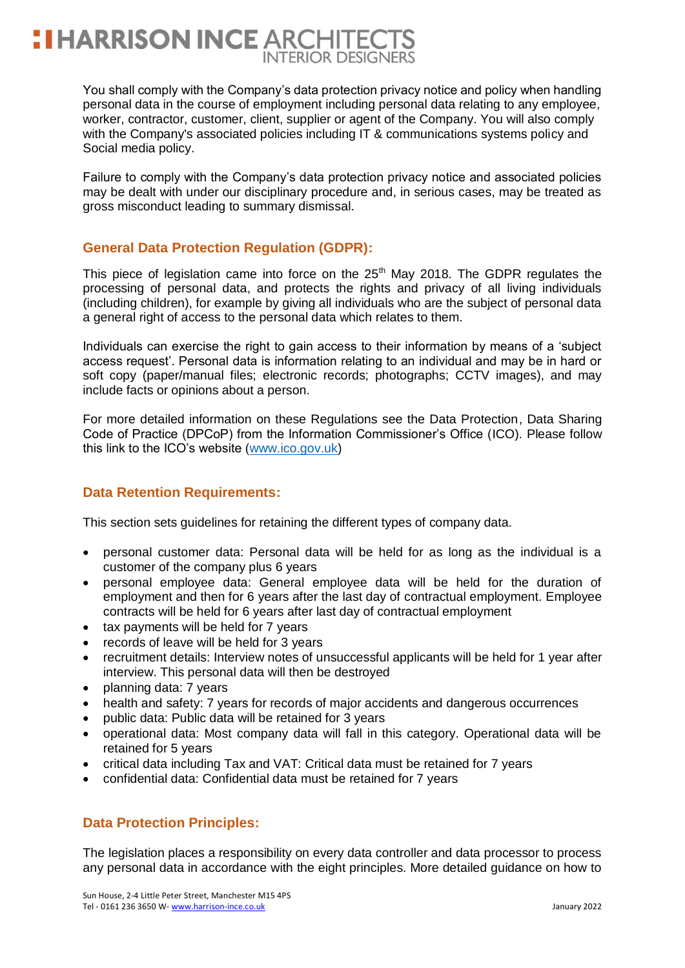You shall comply with the Company's data protection privacy notice and policy when handling personal data in the course of employment including personal data relating to any employee, worker, contractor, customer, client, supplier or agent of the Company. You will also comply with the Company's associated policies including IT & communications systems policy and Social media policy.

Failure to comply with the Company's data protection privacy notice and associated policies may be dealt with under our disciplinary procedure and, in serious cases, may be treated as gross misconduct leading to summary dismissal.

# **General Data Protection Regulation (GDPR):**

This piece of legislation came into force on the  $25<sup>th</sup>$  May 2018. The GDPR regulates the processing of personal data, and protects the rights and privacy of all living individuals (including children), for example by giving all individuals who are the subject of personal data a general right of access to the personal data which relates to them.

Individuals can exercise the right to gain access to their information by means of a 'subject access request'. Personal data is information relating to an individual and may be in hard or soft copy (paper/manual files; electronic records; photographs; CCTV images), and may include facts or opinions about a person.

For more detailed information on these Regulations see the Data Protection, Data Sharing Code of Practice (DPCoP) from the Information Commissioner's Office (ICO). Please follow this link to the ICO's website [\(www.ico.gov.uk\)](http://www.ico.gov.uk/)

# **Data Retention Requirements:**

This section sets guidelines for retaining the different types of company data.

- personal customer data: Personal data will be held for as long as the individual is a customer of the company plus 6 years
- personal employee data: General employee data will be held for the duration of employment and then for 6 years after the last day of contractual employment. Employee contracts will be held for 6 years after last day of contractual employment
- tax payments will be held for 7 years
- records of leave will be held for 3 years
- recruitment details: Interview notes of unsuccessful applicants will be held for 1 year after interview. This personal data will then be destroyed
- planning data: 7 years
- health and safety: 7 years for records of major accidents and dangerous occurrences
- public data: Public data will be retained for 3 years
- operational data: Most company data will fall in this category. Operational data will be retained for 5 years
- critical data including Tax and VAT: Critical data must be retained for 7 years
- confidential data: Confidential data must be retained for 7 years

## **Data Protection Principles:**

The legislation places a responsibility on every data controller and data processor to process any personal data in accordance with the eight principles. More detailed guidance on how to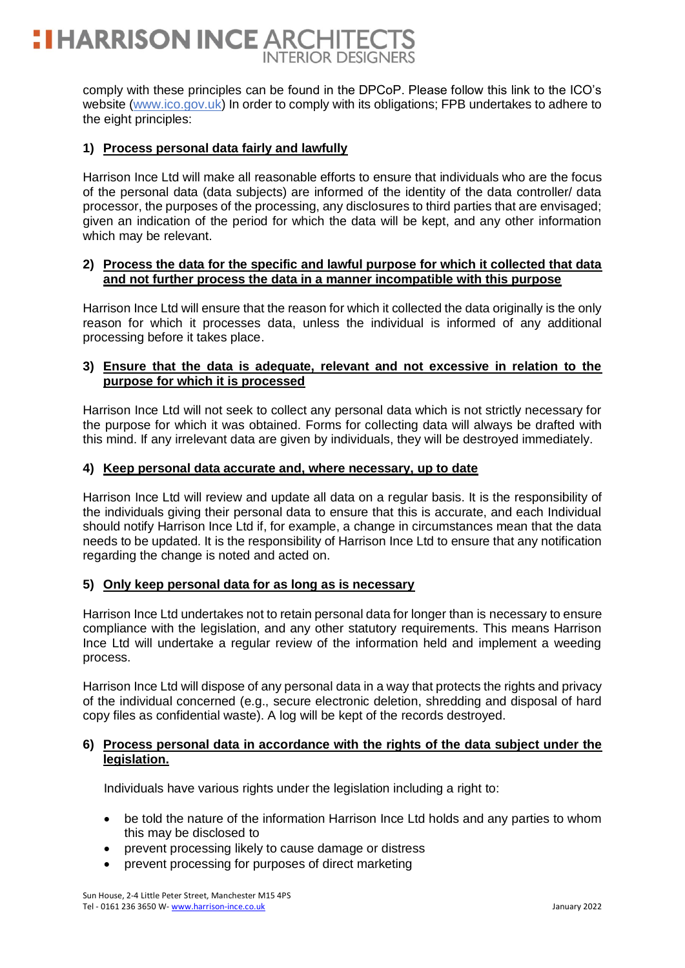# **HARRISON INCE ARCHITECT INTERIOR DESIGNERS**

comply with these principles can be found in the DPCoP. Please follow this link to the ICO's website (www.ico.gov.uk) In order to comply with its obligations; FPB undertakes to adhere to the eight principles:

#### **1) Process personal data fairly and lawfully**

Harrison Ince Ltd will make all reasonable efforts to ensure that individuals who are the focus of the personal data (data subjects) are informed of the identity of the data controller/ data processor, the purposes of the processing, any disclosures to third parties that are envisaged; given an indication of the period for which the data will be kept, and any other information which may be relevant.

#### **2) Process the data for the specific and lawful purpose for which it collected that data and not further process the data in a manner incompatible with this purpose**

Harrison Ince Ltd will ensure that the reason for which it collected the data originally is the only reason for which it processes data, unless the individual is informed of any additional processing before it takes place.

#### **3) Ensure that the data is adequate, relevant and not excessive in relation to the purpose for which it is processed**

Harrison Ince Ltd will not seek to collect any personal data which is not strictly necessary for the purpose for which it was obtained. Forms for collecting data will always be drafted with this mind. If any irrelevant data are given by individuals, they will be destroyed immediately.

#### **4) Keep personal data accurate and, where necessary, up to date**

Harrison Ince Ltd will review and update all data on a regular basis. It is the responsibility of the individuals giving their personal data to ensure that this is accurate, and each Individual should notify Harrison Ince Ltd if, for example, a change in circumstances mean that the data needs to be updated. It is the responsibility of Harrison Ince Ltd to ensure that any notification regarding the change is noted and acted on.

#### **5) Only keep personal data for as long as is necessary**

Harrison Ince Ltd undertakes not to retain personal data for longer than is necessary to ensure compliance with the legislation, and any other statutory requirements. This means Harrison Ince Ltd will undertake a regular review of the information held and implement a weeding process.

Harrison Ince Ltd will dispose of any personal data in a way that protects the rights and privacy of the individual concerned (e.g., secure electronic deletion, shredding and disposal of hard copy files as confidential waste). A log will be kept of the records destroyed.

#### **6) Process personal data in accordance with the rights of the data subject under the legislation.**

Individuals have various rights under the legislation including a right to:

- be told the nature of the information Harrison Ince Ltd holds and any parties to whom this may be disclosed to
- prevent processing likely to cause damage or distress
- prevent processing for purposes of direct marketing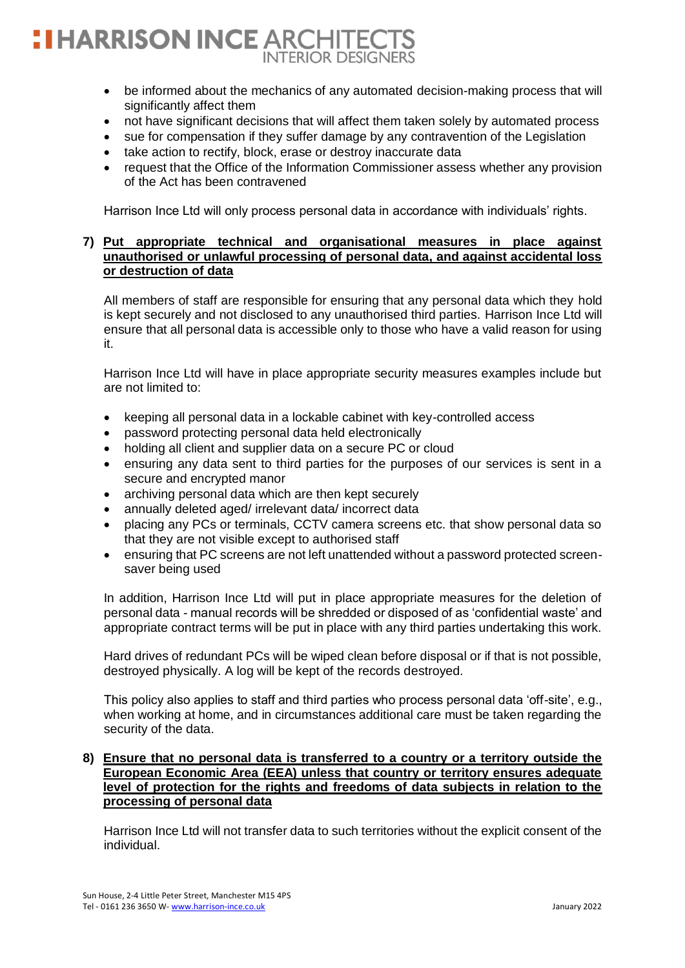# **HARRISON INCE ARCHITEC INTERIOR DESIGNERS**

- be informed about the mechanics of any automated decision-making process that will significantly affect them
- not have significant decisions that will affect them taken solely by automated process
- sue for compensation if they suffer damage by any contravention of the Legislation
- take action to rectify, block, erase or destroy inaccurate data
- request that the Office of the Information Commissioner assess whether any provision of the Act has been contravened

Harrison Ince Ltd will only process personal data in accordance with individuals' rights.

#### **7) Put appropriate technical and organisational measures in place against unauthorised or unlawful processing of personal data, and against accidental loss or destruction of data**

All members of staff are responsible for ensuring that any personal data which they hold is kept securely and not disclosed to any unauthorised third parties. Harrison Ince Ltd will ensure that all personal data is accessible only to those who have a valid reason for using it.

Harrison Ince Ltd will have in place appropriate security measures examples include but are not limited to:

- keeping all personal data in a lockable cabinet with key-controlled access
- password protecting personal data held electronically
- holding all client and supplier data on a secure PC or cloud
- ensuring any data sent to third parties for the purposes of our services is sent in a secure and encrypted manor
- archiving personal data which are then kept securely
- annually deleted aged/ irrelevant data/ incorrect data
- placing any PCs or terminals, CCTV camera screens etc. that show personal data so that they are not visible except to authorised staff
- ensuring that PC screens are not left unattended without a password protected screensaver being used

In addition, Harrison Ince Ltd will put in place appropriate measures for the deletion of personal data - manual records will be shredded or disposed of as 'confidential waste' and appropriate contract terms will be put in place with any third parties undertaking this work.

Hard drives of redundant PCs will be wiped clean before disposal or if that is not possible, destroyed physically. A log will be kept of the records destroyed.

This policy also applies to staff and third parties who process personal data 'off-site', e.g., when working at home, and in circumstances additional care must be taken regarding the security of the data.

#### **8) Ensure that no personal data is transferred to a country or a territory outside the European Economic Area (EEA) unless that country or territory ensures adequate level of protection for the rights and freedoms of data subjects in relation to the processing of personal data**

Harrison Ince Ltd will not transfer data to such territories without the explicit consent of the individual.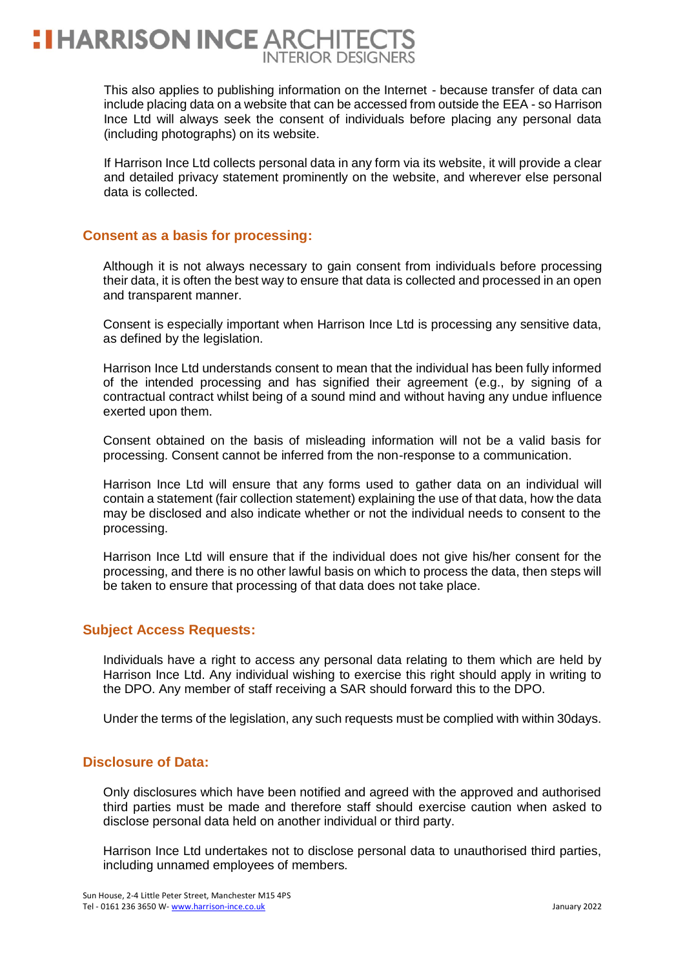This also applies to publishing information on the Internet - because transfer of data can include placing data on a website that can be accessed from outside the EEA - so Harrison Ince Ltd will always seek the consent of individuals before placing any personal data (including photographs) on its website.

If Harrison Ince Ltd collects personal data in any form via its website, it will provide a clear and detailed privacy statement prominently on the website, and wherever else personal data is collected.

## **Consent as a basis for processing:**

Although it is not always necessary to gain consent from individuals before processing their data, it is often the best way to ensure that data is collected and processed in an open and transparent manner.

Consent is especially important when Harrison Ince Ltd is processing any sensitive data, as defined by the legislation.

Harrison Ince Ltd understands consent to mean that the individual has been fully informed of the intended processing and has signified their agreement (e.g., by signing of a contractual contract whilst being of a sound mind and without having any undue influence exerted upon them.

Consent obtained on the basis of misleading information will not be a valid basis for processing. Consent cannot be inferred from the non-response to a communication.

Harrison Ince Ltd will ensure that any forms used to gather data on an individual will contain a statement (fair collection statement) explaining the use of that data, how the data may be disclosed and also indicate whether or not the individual needs to consent to the processing.

Harrison Ince Ltd will ensure that if the individual does not give his/her consent for the processing, and there is no other lawful basis on which to process the data, then steps will be taken to ensure that processing of that data does not take place.

#### **Subject Access Requests:**

Individuals have a right to access any personal data relating to them which are held by Harrison Ince Ltd. Any individual wishing to exercise this right should apply in writing to the DPO. Any member of staff receiving a SAR should forward this to the DPO.

Under the terms of the legislation, any such requests must be complied with within 30days.

#### **Disclosure of Data:**

Only disclosures which have been notified and agreed with the approved and authorised third parties must be made and therefore staff should exercise caution when asked to disclose personal data held on another individual or third party.

Harrison Ince Ltd undertakes not to disclose personal data to unauthorised third parties, including unnamed employees of members.